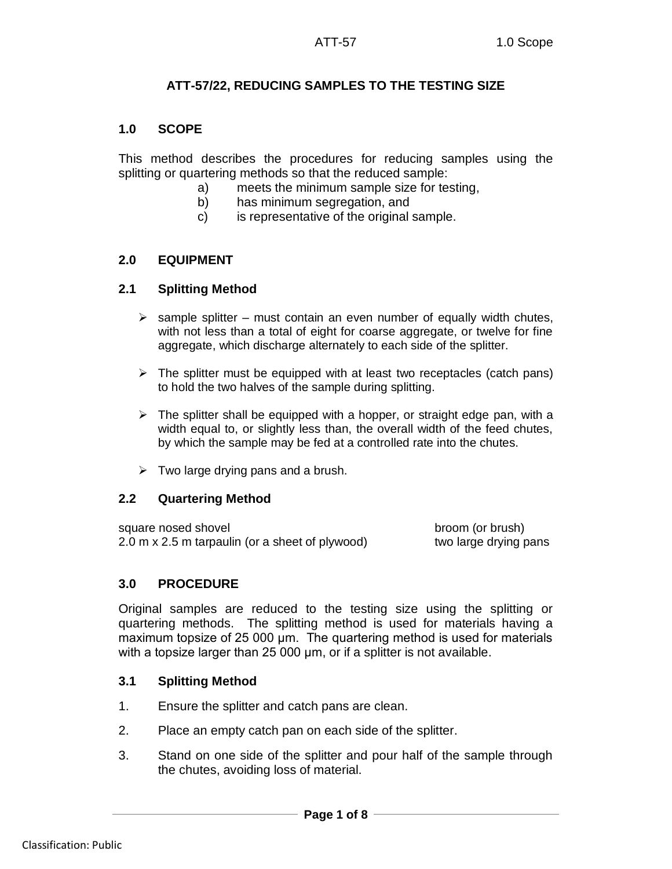## **ATT-57/22, REDUCING SAMPLES TO THE TESTING SIZE**

## **1.0 SCOPE**

This method describes the procedures for reducing samples using the splitting or quartering methods so that the reduced sample:

- a) meets the minimum sample size for testing,
- b) has minimum segregation, and
- c) is representative of the original sample.

# **2.0 EQUIPMENT**

## **2.1 Splitting Method**

- $\triangleright$  sample splitter must contain an even number of equally width chutes, with not less than a total of eight for coarse aggregate, or twelve for fine aggregate, which discharge alternately to each side of the splitter.
- $\triangleright$  The splitter must be equipped with at least two receptacles (catch pans) to hold the two halves of the sample during splitting.
- $\triangleright$  The splitter shall be equipped with a hopper, or straight edge pan, with a width equal to, or slightly less than, the overall width of the feed chutes, by which the sample may be fed at a controlled rate into the chutes.
- $\triangleright$  Two large drying pans and a brush.

## **2.2 Quartering Method**

square nosed shovel broom (or brush) 2.0 m x 2.5 m tarpaulin (or a sheet of plywood) two large drying pans

## **3.0 PROCEDURE**

Original samples are reduced to the testing size using the splitting or quartering methods. The splitting method is used for materials having a maximum topsize of 25 000 μm. The quartering method is used for materials with a topsize larger than 25 000 um, or if a splitter is not available.

## **3.1 Splitting Method**

- 1. Ensure the splitter and catch pans are clean.
- 2. Place an empty catch pan on each side of the splitter.
- 3. Stand on one side of the splitter and pour half of the sample through the chutes, avoiding loss of material.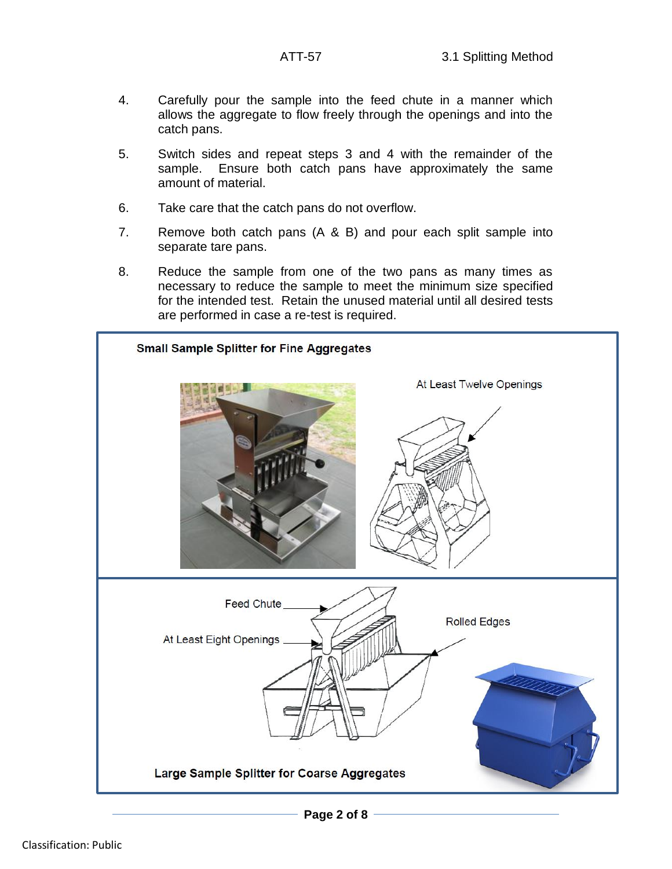- 4. Carefully pour the sample into the feed chute in a manner which allows the aggregate to flow freely through the openings and into the catch pans.
- 5. Switch sides and repeat steps 3 and 4 with the remainder of the sample. Ensure both catch pans have approximately the same amount of material.
- 6. Take care that the catch pans do not overflow.
- 7. Remove both catch pans (A & B) and pour each split sample into separate tare pans.
- 8. Reduce the sample from one of the two pans as many times as necessary to reduce the sample to meet the minimum size specified for the intended test. Retain the unused material until all desired tests are performed in case a re-test is required.

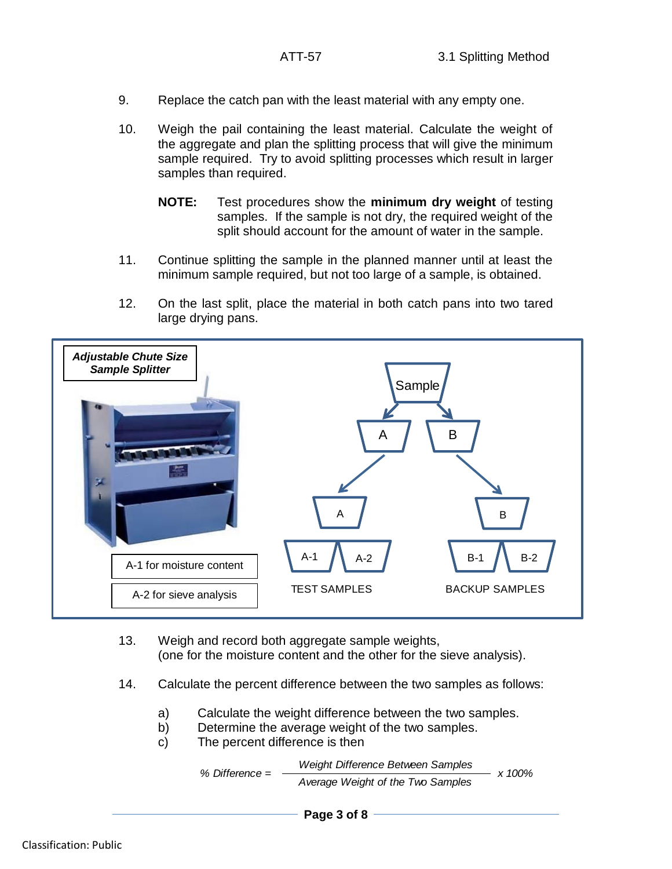- 9. Replace the catch pan with the least material with any empty one.
- 10. Weigh the pail containing the least material. Calculate the weight of the aggregate and plan the splitting process that will give the minimum sample required. Try to avoid splitting processes which result in larger samples than required.
	- **NOTE:** Test procedures show the **minimum dry weight** of testing samples. If the sample is not dry, the required weight of the split should account for the amount of water in the sample.
- 11. Continue splitting the sample in the planned manner until at least the minimum sample required, but not too large of a sample, is obtained.
- 12. On the last split, place the material in both catch pans into two tared large drying pans.



- 13. Weigh and record both aggregate sample weights, (one for the moisture content and the other for the sieve analysis).
- 14. Calculate the percent difference between the two samples as follows:
	- a) Calculate the weight difference between the two samples.
	- b) Determine the average weight of the two samples.
	- c) The percent difference is then

 $\%$  Difference =  $\frac{100\%}{200\%}$ *Weight Difference Between Samples Average Weight of the Two Samples*

**Page 3 of 8**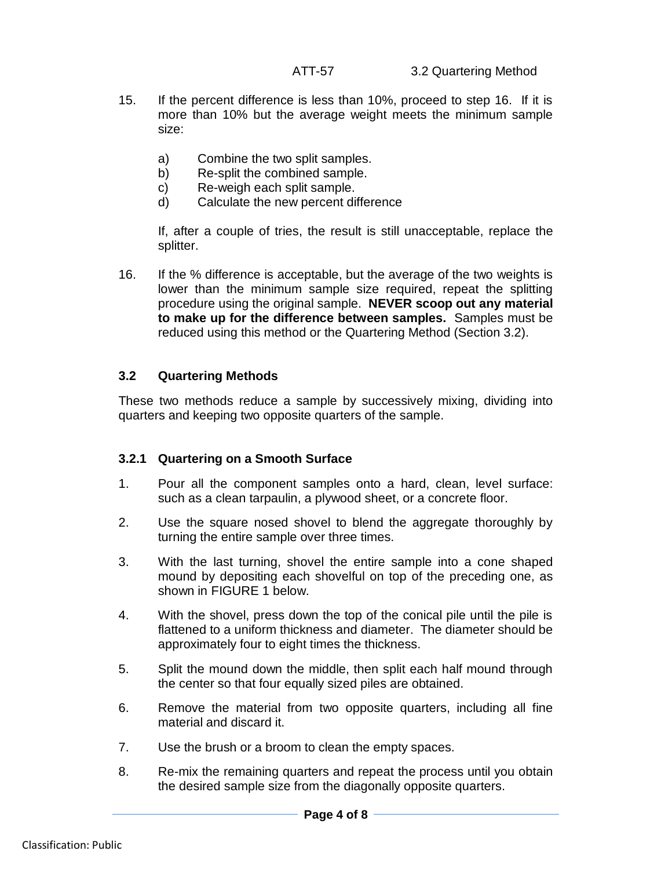- 15. If the percent difference is less than 10%, proceed to step 16. If it is more than 10% but the average weight meets the minimum sample size:
	- a) Combine the two split samples.
	- b) Re-split the combined sample.
	- c) Re-weigh each split sample.
	- d) Calculate the new percent difference

If, after a couple of tries, the result is still unacceptable, replace the splitter.

16. If the % difference is acceptable, but the average of the two weights is lower than the minimum sample size required, repeat the splitting procedure using the original sample. **NEVER scoop out any material to make up for the difference between samples.** Samples must be reduced using this method or the Quartering Method (Section 3.2).

## **3.2 Quartering Methods**

These two methods reduce a sample by successively mixing, dividing into quarters and keeping two opposite quarters of the sample.

#### **3.2.1 Quartering on a Smooth Surface**

- 1. Pour all the component samples onto a hard, clean, level surface: such as a clean tarpaulin, a plywood sheet, or a concrete floor.
- 2. Use the square nosed shovel to blend the aggregate thoroughly by turning the entire sample over three times.
- 3. With the last turning, shovel the entire sample into a cone shaped mound by depositing each shovelful on top of the preceding one, as shown in FIGURE 1 below.
- 4. With the shovel, press down the top of the conical pile until the pile is flattened to a uniform thickness and diameter. The diameter should be approximately four to eight times the thickness.
- 5. Split the mound down the middle, then split each half mound through the center so that four equally sized piles are obtained.
- 6. Remove the material from two opposite quarters, including all fine material and discard it.
- 7. Use the brush or a broom to clean the empty spaces.
- 8. Re-mix the remaining quarters and repeat the process until you obtain the desired sample size from the diagonally opposite quarters.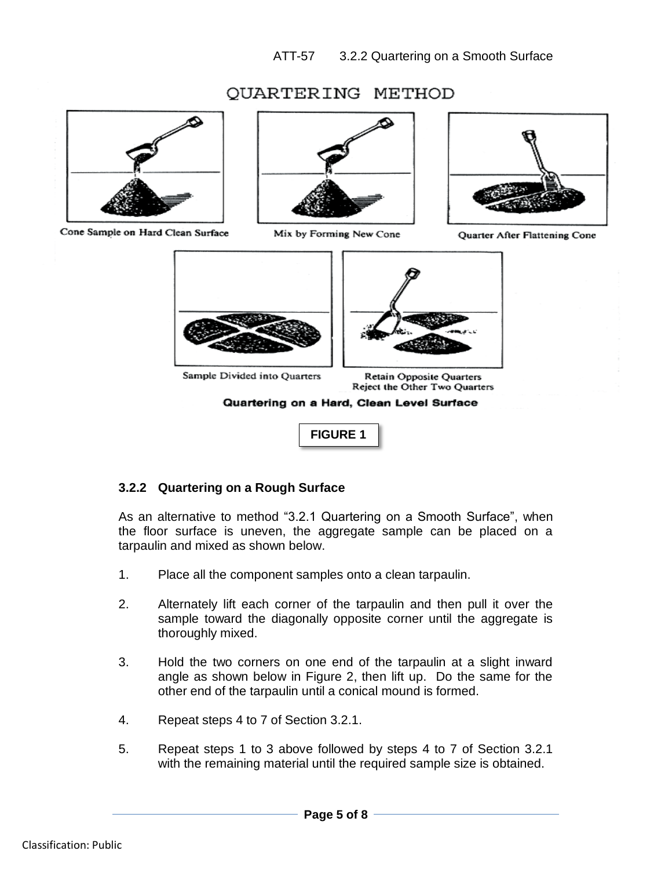# OUARTERING METHOD



Cone Sample on Hard Clean Surface



Mix by Forming New Cone



Quarter After Flattening Cone



Quartering on a Hard, Clean Level Surface

**FIGURE 1**

## **3.2.2 Quartering on a Rough Surface**

As an alternative to method "3.2.1 Quartering on a Smooth Surface", when the floor surface is uneven, the aggregate sample can be placed on a tarpaulin and mixed as shown below.

- 1. Place all the component samples onto a clean tarpaulin.
- 2. Alternately lift each corner of the tarpaulin and then pull it over the sample toward the diagonally opposite corner until the aggregate is thoroughly mixed.
- 3. Hold the two corners on one end of the tarpaulin at a slight inward angle as shown below in Figure 2, then lift up. Do the same for the other end of the tarpaulin until a conical mound is formed.
- 4. Repeat steps 4 to 7 of Section 3.2.1.
- 5. Repeat steps 1 to 3 above followed by steps 4 to 7 of Section 3.2.1 with the remaining material until the required sample size is obtained.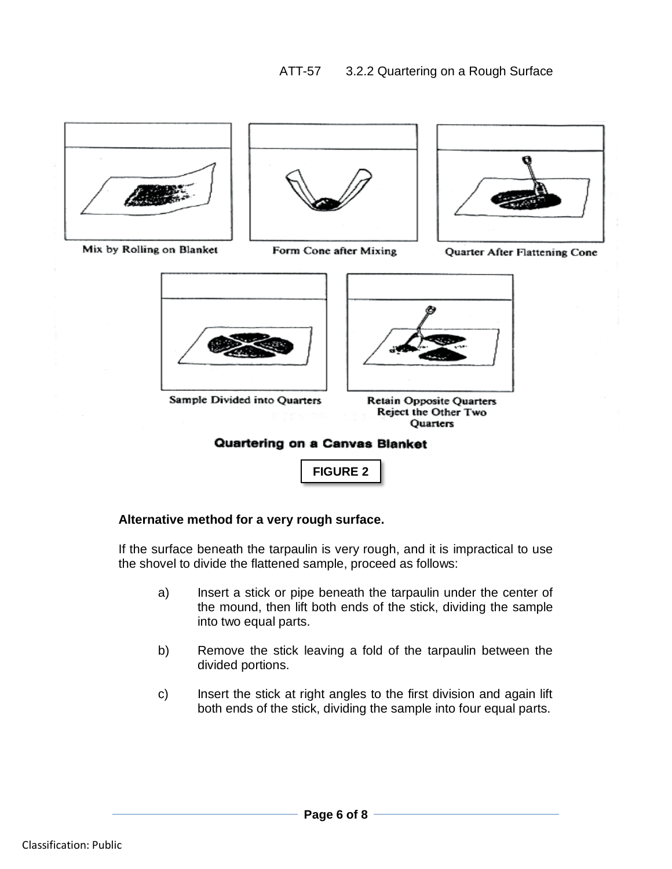

Sample Divided into Quarters

Retain Opposite Quarters Reject the Other Two Quarters

## Quartering on a Canvas Blanket

**FIGURE 2**

## **Alternative method for a very rough surface.**

If the surface beneath the tarpaulin is very rough, and it is impractical to use the shovel to divide the flattened sample, proceed as follows:

- a) Insert a stick or pipe beneath the tarpaulin under the center of the mound, then lift both ends of the stick, dividing the sample into two equal parts.
- b) Remove the stick leaving a fold of the tarpaulin between the divided portions.
- c) Insert the stick at right angles to the first division and again lift both ends of the stick, dividing the sample into four equal parts.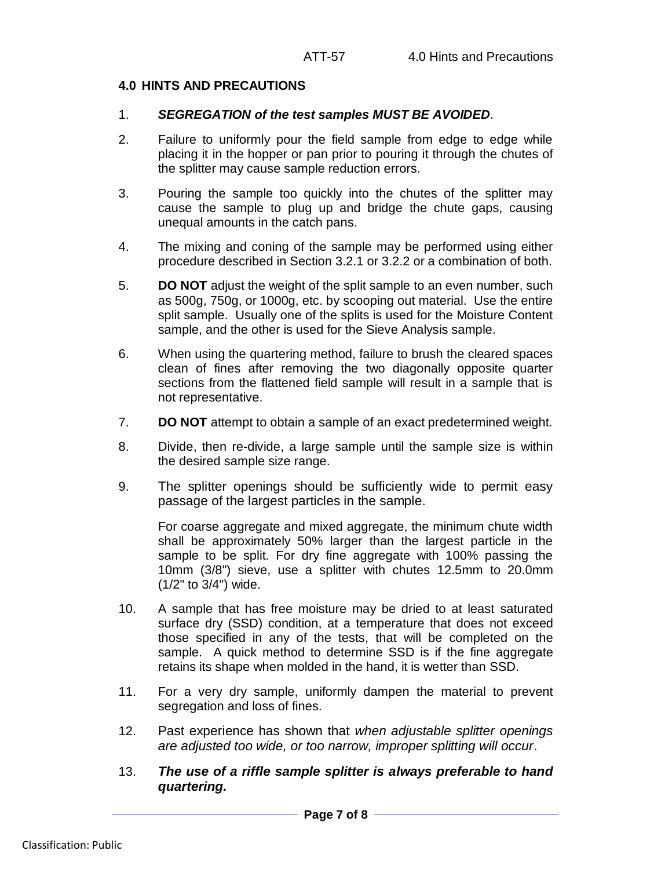## **4.0 HINTS AND PRECAUTIONS**

#### 1. *SEGREGATION of the test samples MUST BE AVOIDED*.

- 2. Failure to uniformly pour the field sample from edge to edge while placing it in the hopper or pan prior to pouring it through the chutes of the splitter may cause sample reduction errors.
- 3. Pouring the sample too quickly into the chutes of the splitter may cause the sample to plug up and bridge the chute gaps, causing unequal amounts in the catch pans.
- 4. The mixing and coning of the sample may be performed using either procedure described in Section 3.2.1 or 3.2.2 or a combination of both.
- 5. **DO NOT** adjust the weight of the split sample to an even number, such as 500g, 750g, or 1000g, etc. by scooping out material. Use the entire split sample. Usually one of the splits is used for the Moisture Content sample, and the other is used for the Sieve Analysis sample.
- 6. When using the quartering method, failure to brush the cleared spaces clean of fines after removing the two diagonally opposite quarter sections from the flattened field sample will result in a sample that is not representative.
- 7. **DO NOT** attempt to obtain a sample of an exact predetermined weight.
- 8. Divide, then re-divide, a large sample until the sample size is within the desired sample size range.
- 9. The splitter openings should be sufficiently wide to permit easy passage of the largest particles in the sample.

For coarse aggregate and mixed aggregate, the minimum chute width shall be approximately 50% larger than the largest particle in the sample to be split. For dry fine aggregate with 100% passing the 10mm (3/8") sieve, use a splitter with chutes 12.5mm to 20.0mm (1/2" to 3/4") wide.

- 10. A sample that has free moisture may be dried to at least saturated surface dry (SSD) condition, at a temperature that does not exceed those specified in any of the tests, that will be completed on the sample. A quick method to determine SSD is if the fine aggregate retains its shape when molded in the hand, it is wetter than SSD.
- 11. For a very dry sample, uniformly dampen the material to prevent segregation and loss of fines.
- 12. Past experience has shown that *when adjustable splitter openings are adjusted too wide, or too narrow, improper splitting will occur*.
- 13. *The use of a riffle sample splitter is always preferable to hand quartering.*